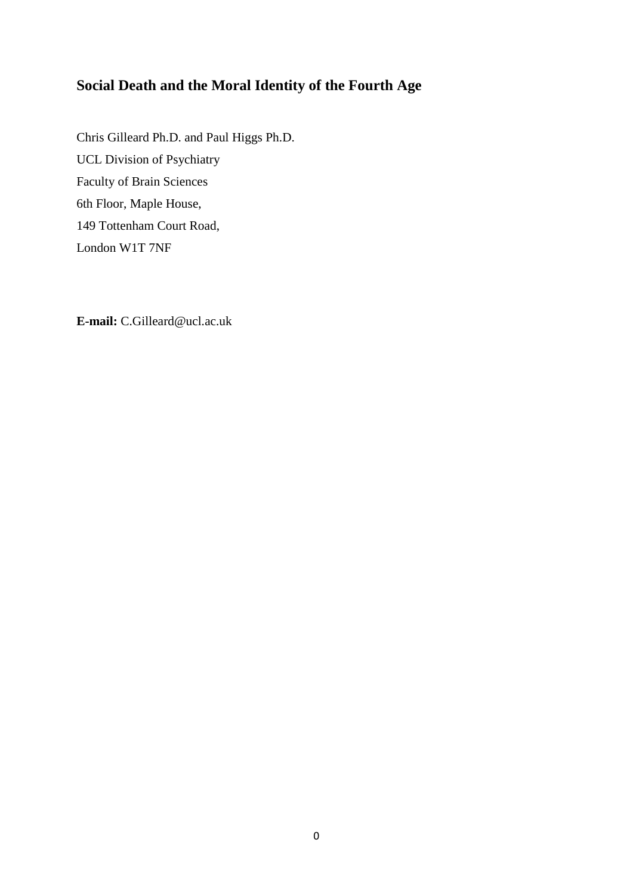# **Social Death and the Moral Identity of the Fourth Age**

Chris Gilleard Ph.D. and Paul Higgs Ph.D. UCL Division of Psychiatry Faculty of Brain Sciences 6th Floor, Maple House, 149 Tottenham Court Road, London W1T 7NF

**E-mail:** C.Gilleard@ucl.ac.uk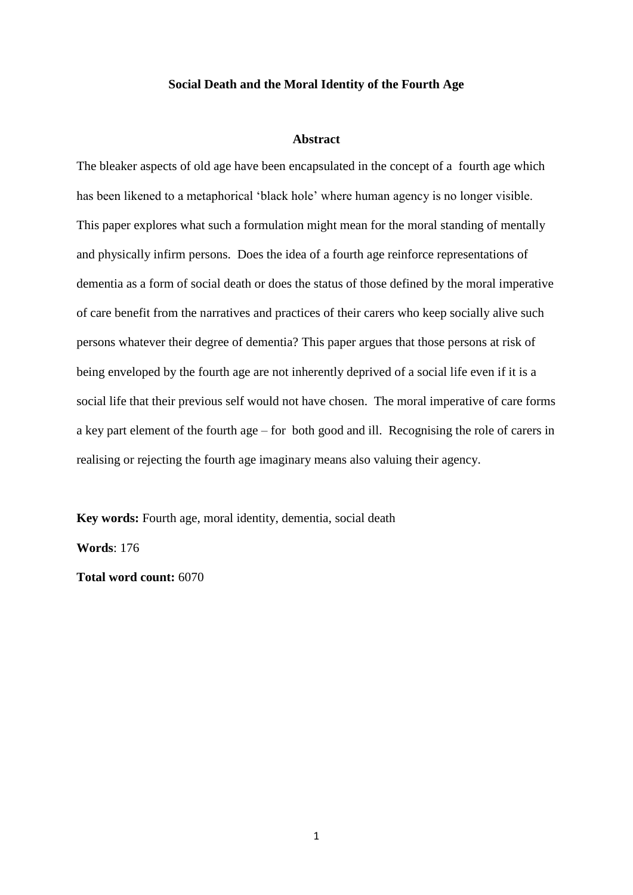#### **Social Death and the Moral Identity of the Fourth Age**

#### **Abstract**

The bleaker aspects of old age have been encapsulated in the concept of a fourth age which has been likened to a metaphorical 'black hole' where human agency is no longer visible. This paper explores what such a formulation might mean for the moral standing of mentally and physically infirm persons. Does the idea of a fourth age reinforce representations of dementia as a form of social death or does the status of those defined by the moral imperative of care benefit from the narratives and practices of their carers who keep socially alive such persons whatever their degree of dementia? This paper argues that those persons at risk of being enveloped by the fourth age are not inherently deprived of a social life even if it is a social life that their previous self would not have chosen. The moral imperative of care forms a key part element of the fourth age – for both good and ill. Recognising the role of carers in realising or rejecting the fourth age imaginary means also valuing their agency.

**Key words:** Fourth age, moral identity, dementia, social death

**Words**: 176

**Total word count:** 6070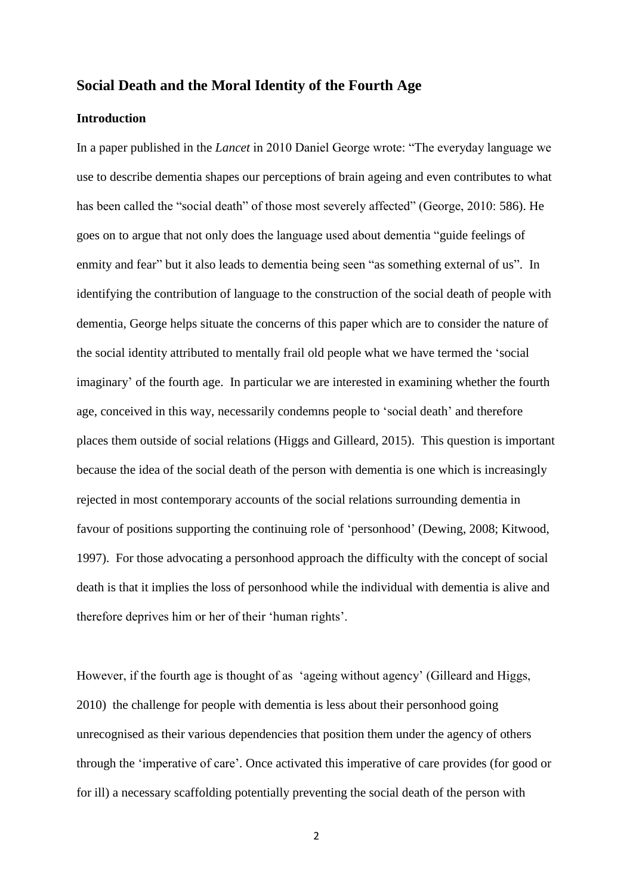## **Social Death and the Moral Identity of the Fourth Age**

### **Introduction**

In a paper published in the *Lancet* in 2010 Daniel George wrote: "The everyday language we use to describe dementia shapes our perceptions of brain ageing and even contributes to what has been called the "social death" of those most severely affected" (George, 2010: 586). He goes on to argue that not only does the language used about dementia "guide feelings of enmity and fear" but it also leads to dementia being seen "as something external of us". In identifying the contribution of language to the construction of the social death of people with dementia, George helps situate the concerns of this paper which are to consider the nature of the social identity attributed to mentally frail old people what we have termed the 'social imaginary' of the fourth age. In particular we are interested in examining whether the fourth age, conceived in this way, necessarily condemns people to 'social death' and therefore places them outside of social relations (Higgs and Gilleard, 2015). This question is important because the idea of the social death of the person with dementia is one which is increasingly rejected in most contemporary accounts of the social relations surrounding dementia in favour of positions supporting the continuing role of 'personhood' (Dewing, 2008; Kitwood, 1997). For those advocating a personhood approach the difficulty with the concept of social death is that it implies the loss of personhood while the individual with dementia is alive and therefore deprives him or her of their 'human rights'.

However, if the fourth age is thought of as 'ageing without agency' (Gilleard and Higgs, 2010) the challenge for people with dementia is less about their personhood going unrecognised as their various dependencies that position them under the agency of others through the 'imperative of care'. Once activated this imperative of care provides (for good or for ill) a necessary scaffolding potentially preventing the social death of the person with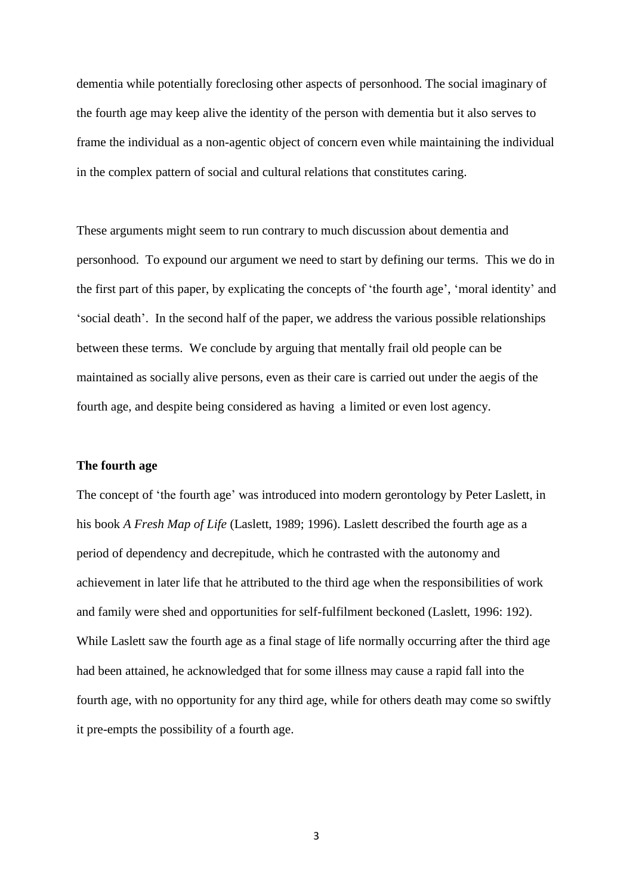dementia while potentially foreclosing other aspects of personhood. The social imaginary of the fourth age may keep alive the identity of the person with dementia but it also serves to frame the individual as a non-agentic object of concern even while maintaining the individual in the complex pattern of social and cultural relations that constitutes caring.

These arguments might seem to run contrary to much discussion about dementia and personhood. To expound our argument we need to start by defining our terms. This we do in the first part of this paper, by explicating the concepts of 'the fourth age', 'moral identity' and 'social death'. In the second half of the paper, we address the various possible relationships between these terms. We conclude by arguing that mentally frail old people can be maintained as socially alive persons, even as their care is carried out under the aegis of the fourth age, and despite being considered as having a limited or even lost agency.

### **The fourth age**

The concept of 'the fourth age' was introduced into modern gerontology by Peter Laslett, in his book *A Fresh Map of Life* (Laslett, 1989; 1996). Laslett described the fourth age as a period of dependency and decrepitude, which he contrasted with the autonomy and achievement in later life that he attributed to the third age when the responsibilities of work and family were shed and opportunities for self-fulfilment beckoned (Laslett, 1996: 192). While Laslett saw the fourth age as a final stage of life normally occurring after the third age had been attained, he acknowledged that for some illness may cause a rapid fall into the fourth age, with no opportunity for any third age, while for others death may come so swiftly it pre-empts the possibility of a fourth age.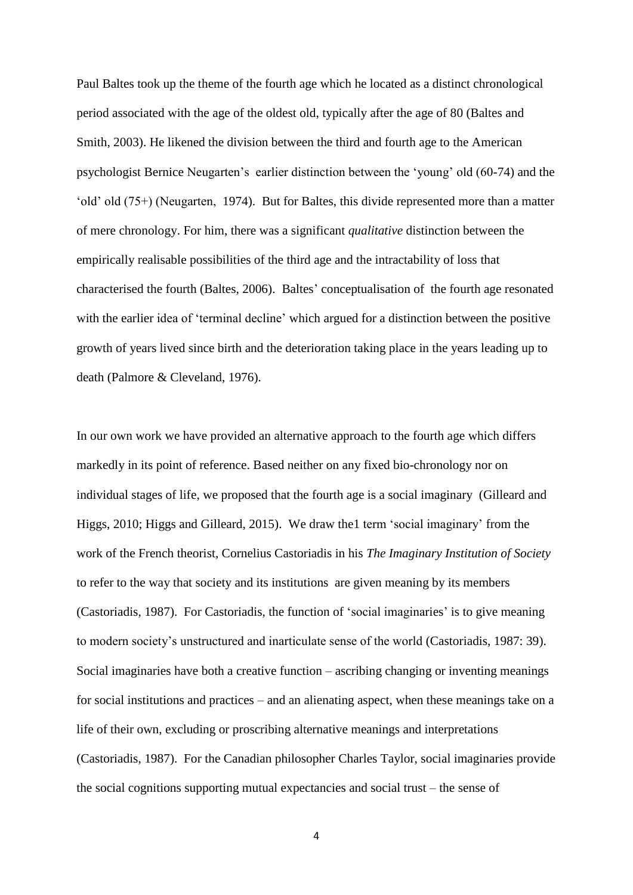Paul Baltes took up the theme of the fourth age which he located as a distinct chronological period associated with the age of the oldest old, typically after the age of 80 (Baltes and Smith, 2003). He likened the division between the third and fourth age to the American psychologist Bernice Neugarten's earlier distinction between the 'young' old (60-74) and the 'old' old (75+) (Neugarten, 1974). But for Baltes, this divide represented more than a matter of mere chronology. For him, there was a significant *qualitative* distinction between the empirically realisable possibilities of the third age and the intractability of loss that characterised the fourth (Baltes, 2006). Baltes' conceptualisation of the fourth age resonated with the earlier idea of 'terminal decline' which argued for a distinction between the positive growth of years lived since birth and the deterioration taking place in the years leading up to death (Palmore & Cleveland, 1976).

In our own work we have provided an alternative approach to the fourth age which differs markedly in its point of reference. Based neither on any fixed bio-chronology nor on individual stages of life, we proposed that the fourth age is a social imaginary (Gilleard and Higgs, 2010; Higgs and Gilleard, 2015). We draw the1 term 'social imaginary' from the work of the French theorist, Cornelius Castoriadis in his *The Imaginary Institution of Society*  to refer to the way that society and its institutions are given meaning by its members (Castoriadis, 1987). For Castoriadis, the function of 'social imaginaries' is to give meaning to modern society's unstructured and inarticulate sense of the world (Castoriadis, 1987: 39). Social imaginaries have both a creative function – ascribing changing or inventing meanings for social institutions and practices – and an alienating aspect, when these meanings take on a life of their own, excluding or proscribing alternative meanings and interpretations (Castoriadis, 1987). For the Canadian philosopher Charles Taylor, social imaginaries provide the social cognitions supporting mutual expectancies and social trust – the sense of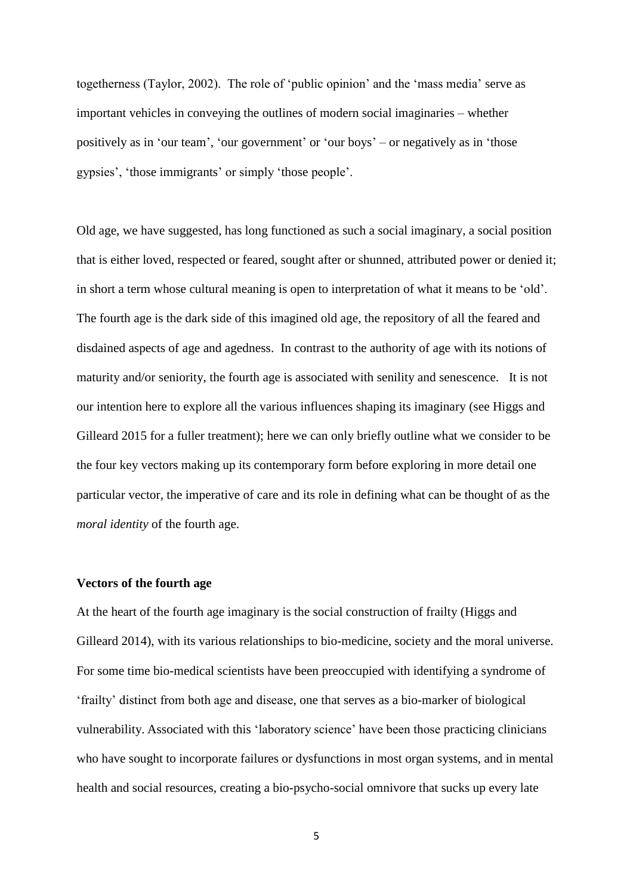togetherness (Taylor, 2002). The role of 'public opinion' and the 'mass media' serve as important vehicles in conveying the outlines of modern social imaginaries – whether positively as in 'our team', 'our government' or 'our boys' – or negatively as in 'those gypsies', 'those immigrants' or simply 'those people'.

Old age, we have suggested, has long functioned as such a social imaginary, a social position that is either loved, respected or feared, sought after or shunned, attributed power or denied it; in short a term whose cultural meaning is open to interpretation of what it means to be 'old'. The fourth age is the dark side of this imagined old age, the repository of all the feared and disdained aspects of age and agedness. In contrast to the authority of age with its notions of maturity and/or seniority, the fourth age is associated with senility and senescence. It is not our intention here to explore all the various influences shaping its imaginary (see Higgs and Gilleard 2015 for a fuller treatment); here we can only briefly outline what we consider to be the four key vectors making up its contemporary form before exploring in more detail one particular vector, the imperative of care and its role in defining what can be thought of as the *moral identity* of the fourth age.

### **Vectors of the fourth age**

At the heart of the fourth age imaginary is the social construction of frailty (Higgs and Gilleard 2014), with its various relationships to bio-medicine, society and the moral universe. For some time bio-medical scientists have been preoccupied with identifying a syndrome of 'frailty' distinct from both age and disease, one that serves as a bio-marker of biological vulnerability. Associated with this 'laboratory science' have been those practicing clinicians who have sought to incorporate failures or dysfunctions in most organ systems, and in mental health and social resources, creating a bio-psycho-social omnivore that sucks up every late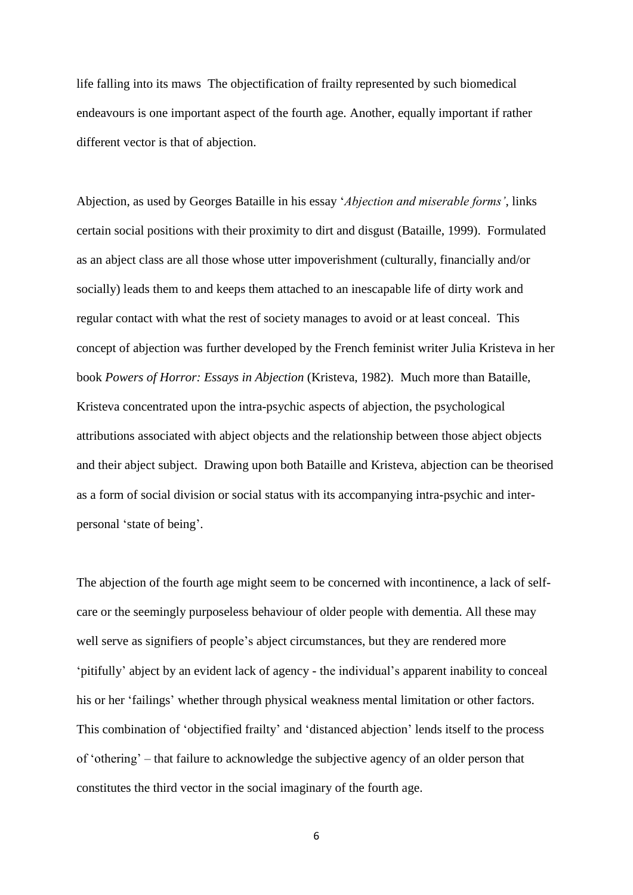life falling into its maws The objectification of frailty represented by such biomedical endeavours is one important aspect of the fourth age. Another, equally important if rather different vector is that of abjection.

Abjection, as used by Georges Bataille in his essay '*Abjection and miserable forms'*, links certain social positions with their proximity to dirt and disgust (Bataille, 1999). Formulated as an abject class are all those whose utter impoverishment (culturally, financially and/or socially) leads them to and keeps them attached to an inescapable life of dirty work and regular contact with what the rest of society manages to avoid or at least conceal. This concept of abjection was further developed by the French feminist writer Julia Kristeva in her book *Powers of Horror: Essays in Abjection* (Kristeva, 1982). Much more than Bataille, Kristeva concentrated upon the intra-psychic aspects of abjection, the psychological attributions associated with abject objects and the relationship between those abject objects and their abject subject. Drawing upon both Bataille and Kristeva, abjection can be theorised as a form of social division or social status with its accompanying intra-psychic and interpersonal 'state of being'.

The abjection of the fourth age might seem to be concerned with incontinence, a lack of selfcare or the seemingly purposeless behaviour of older people with dementia. All these may well serve as signifiers of people's abject circumstances, but they are rendered more 'pitifully' abject by an evident lack of agency - the individual's apparent inability to conceal his or her 'failings' whether through physical weakness mental limitation or other factors. This combination of 'objectified frailty' and 'distanced abjection' lends itself to the process of 'othering' – that failure to acknowledge the subjective agency of an older person that constitutes the third vector in the social imaginary of the fourth age.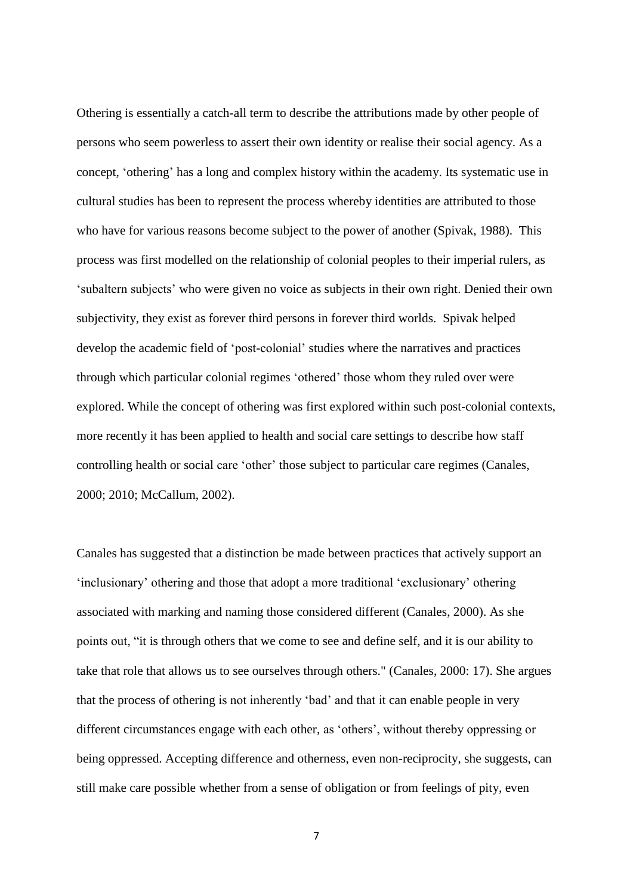Othering is essentially a catch-all term to describe the attributions made by other people of persons who seem powerless to assert their own identity or realise their social agency. As a concept, 'othering' has a long and complex history within the academy. Its systematic use in cultural studies has been to represent the process whereby identities are attributed to those who have for various reasons become subject to the power of another (Spivak, 1988). This process was first modelled on the relationship of colonial peoples to their imperial rulers, as 'subaltern subjects' who were given no voice as subjects in their own right. Denied their own subjectivity, they exist as forever third persons in forever third worlds. Spivak helped develop the academic field of 'post-colonial' studies where the narratives and practices through which particular colonial regimes 'othered' those whom they ruled over were explored. While the concept of othering was first explored within such post-colonial contexts, more recently it has been applied to health and social care settings to describe how staff controlling health or social care 'other' those subject to particular care regimes (Canales, 2000; 2010; McCallum, 2002).

Canales has suggested that a distinction be made between practices that actively support an 'inclusionary' othering and those that adopt a more traditional 'exclusionary' othering associated with marking and naming those considered different (Canales, 2000). As she points out, "it is through others that we come to see and define self, and it is our ability to take that role that allows us to see ourselves through others." (Canales, 2000: 17). She argues that the process of othering is not inherently 'bad' and that it can enable people in very different circumstances engage with each other, as 'others', without thereby oppressing or being oppressed. Accepting difference and otherness, even non-reciprocity, she suggests, can still make care possible whether from a sense of obligation or from feelings of pity, even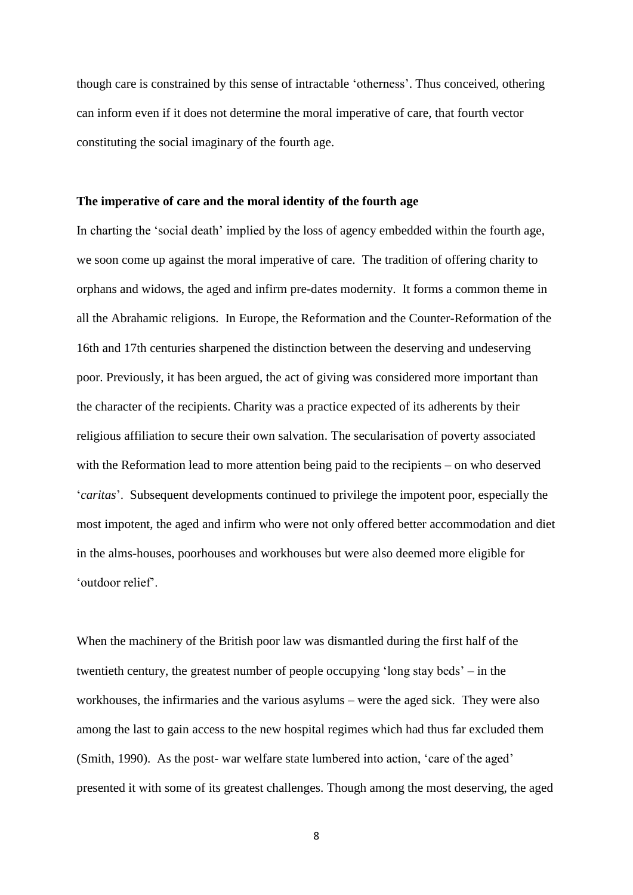though care is constrained by this sense of intractable 'otherness'. Thus conceived, othering can inform even if it does not determine the moral imperative of care, that fourth vector constituting the social imaginary of the fourth age.

#### **The imperative of care and the moral identity of the fourth age**

In charting the 'social death' implied by the loss of agency embedded within the fourth age, we soon come up against the moral imperative of care. The tradition of offering charity to orphans and widows, the aged and infirm pre-dates modernity. It forms a common theme in all the Abrahamic religions. In Europe, the Reformation and the Counter-Reformation of the 16th and 17th centuries sharpened the distinction between the deserving and undeserving poor. Previously, it has been argued, the act of giving was considered more important than the character of the recipients. Charity was a practice expected of its adherents by their religious affiliation to secure their own salvation. The secularisation of poverty associated with the Reformation lead to more attention being paid to the recipients – on who deserved '*caritas*'. Subsequent developments continued to privilege the impotent poor, especially the most impotent, the aged and infirm who were not only offered better accommodation and diet in the alms-houses, poorhouses and workhouses but were also deemed more eligible for 'outdoor relief'.

When the machinery of the British poor law was dismantled during the first half of the twentieth century, the greatest number of people occupying 'long stay beds' – in the workhouses, the infirmaries and the various asylums – were the aged sick. They were also among the last to gain access to the new hospital regimes which had thus far excluded them (Smith, 1990). As the post- war welfare state lumbered into action, 'care of the aged' presented it with some of its greatest challenges. Though among the most deserving, the aged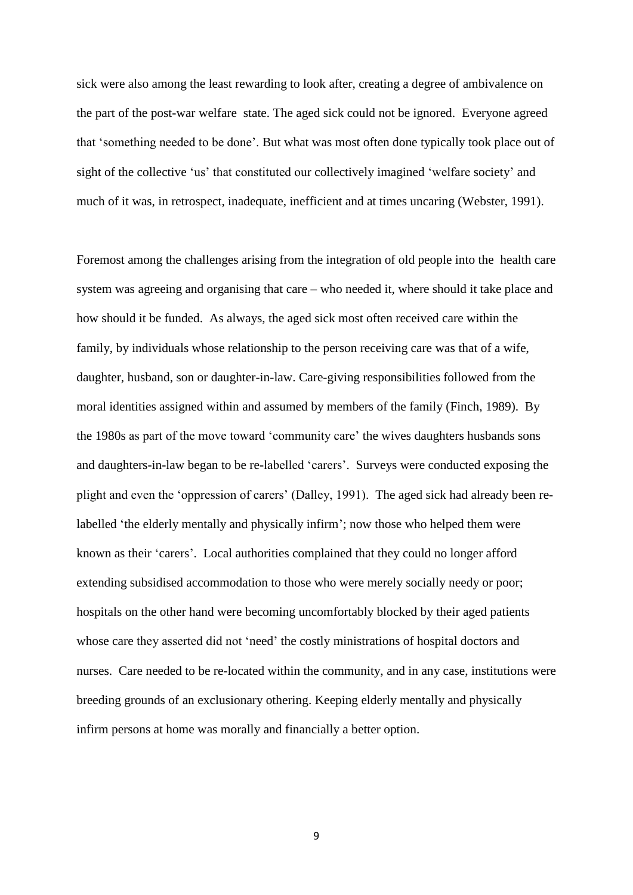sick were also among the least rewarding to look after, creating a degree of ambivalence on the part of the post-war welfare state. The aged sick could not be ignored. Everyone agreed that 'something needed to be done'. But what was most often done typically took place out of sight of the collective 'us' that constituted our collectively imagined 'welfare society' and much of it was, in retrospect, inadequate, inefficient and at times uncaring (Webster, 1991).

Foremost among the challenges arising from the integration of old people into the health care system was agreeing and organising that care – who needed it, where should it take place and how should it be funded. As always, the aged sick most often received care within the family, by individuals whose relationship to the person receiving care was that of a wife, daughter, husband, son or daughter-in-law. Care-giving responsibilities followed from the moral identities assigned within and assumed by members of the family (Finch, 1989). By the 1980s as part of the move toward 'community care' the wives daughters husbands sons and daughters-in-law began to be re-labelled 'carers'. Surveys were conducted exposing the plight and even the 'oppression of carers' (Dalley, 1991). The aged sick had already been relabelled 'the elderly mentally and physically infirm'; now those who helped them were known as their 'carers'. Local authorities complained that they could no longer afford extending subsidised accommodation to those who were merely socially needy or poor; hospitals on the other hand were becoming uncomfortably blocked by their aged patients whose care they asserted did not 'need' the costly ministrations of hospital doctors and nurses. Care needed to be re-located within the community, and in any case, institutions were breeding grounds of an exclusionary othering. Keeping elderly mentally and physically infirm persons at home was morally and financially a better option.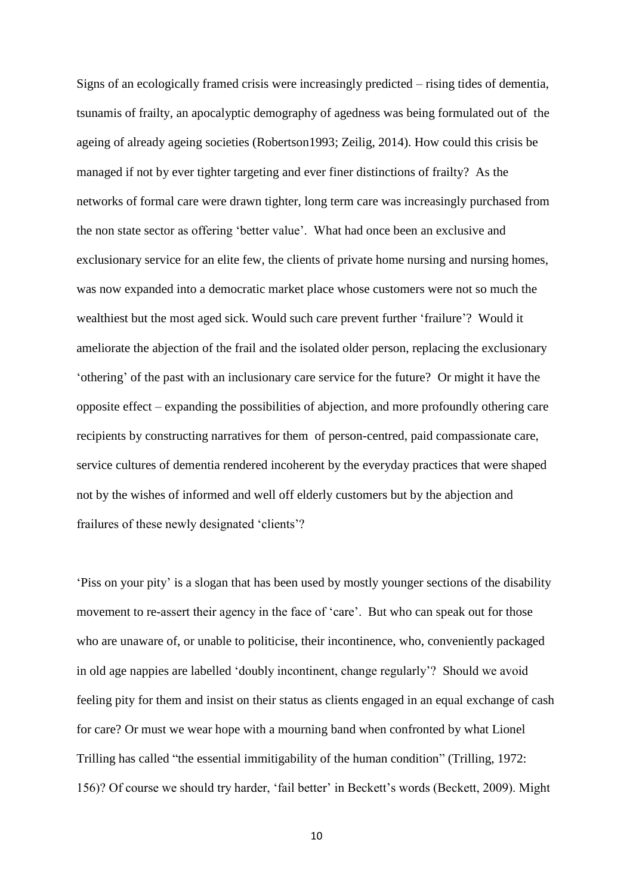Signs of an ecologically framed crisis were increasingly predicted – rising tides of dementia, tsunamis of frailty, an apocalyptic demography of agedness was being formulated out of the ageing of already ageing societies (Robertson1993; Zeilig, 2014). How could this crisis be managed if not by ever tighter targeting and ever finer distinctions of frailty? As the networks of formal care were drawn tighter, long term care was increasingly purchased from the non state sector as offering 'better value'. What had once been an exclusive and exclusionary service for an elite few, the clients of private home nursing and nursing homes, was now expanded into a democratic market place whose customers were not so much the wealthiest but the most aged sick. Would such care prevent further 'frailure'? Would it ameliorate the abjection of the frail and the isolated older person, replacing the exclusionary 'othering' of the past with an inclusionary care service for the future? Or might it have the opposite effect – expanding the possibilities of abjection, and more profoundly othering care recipients by constructing narratives for them of person-centred, paid compassionate care, service cultures of dementia rendered incoherent by the everyday practices that were shaped not by the wishes of informed and well off elderly customers but by the abjection and frailures of these newly designated 'clients'?

'Piss on your pity' is a slogan that has been used by mostly younger sections of the disability movement to re-assert their agency in the face of 'care'. But who can speak out for those who are unaware of, or unable to politicise, their incontinence, who, conveniently packaged in old age nappies are labelled 'doubly incontinent, change regularly'? Should we avoid feeling pity for them and insist on their status as clients engaged in an equal exchange of cash for care? Or must we wear hope with a mourning band when confronted by what Lionel Trilling has called "the essential immitigability of the human condition" (Trilling, 1972: 156)? Of course we should try harder, 'fail better' in Beckett's words (Beckett, 2009). Might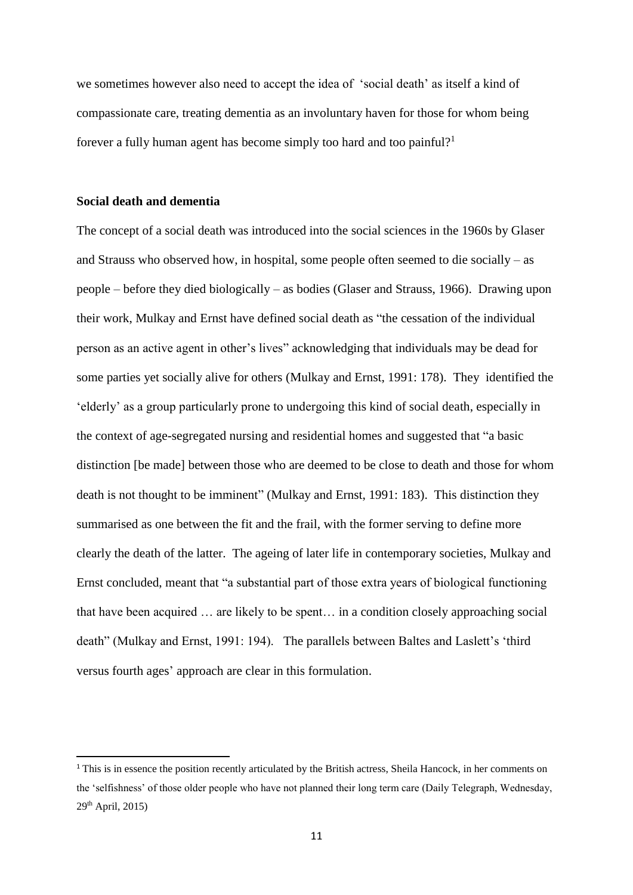we sometimes however also need to accept the idea of 'social death' as itself a kind of compassionate care, treating dementia as an involuntary haven for those for whom being forever a fully human agent has become simply too hard and too painful?<sup>1</sup>

### **Social death and dementia**

 $\overline{a}$ 

The concept of a social death was introduced into the social sciences in the 1960s by Glaser and Strauss who observed how, in hospital, some people often seemed to die socially – as people – before they died biologically – as bodies (Glaser and Strauss, 1966). Drawing upon their work, Mulkay and Ernst have defined social death as "the cessation of the individual person as an active agent in other's lives" acknowledging that individuals may be dead for some parties yet socially alive for others (Mulkay and Ernst, 1991: 178). They identified the 'elderly' as a group particularly prone to undergoing this kind of social death, especially in the context of age-segregated nursing and residential homes and suggested that "a basic distinction [be made] between those who are deemed to be close to death and those for whom death is not thought to be imminent" (Mulkay and Ernst, 1991: 183). This distinction they summarised as one between the fit and the frail, with the former serving to define more clearly the death of the latter. The ageing of later life in contemporary societies, Mulkay and Ernst concluded, meant that "a substantial part of those extra years of biological functioning that have been acquired … are likely to be spent… in a condition closely approaching social death" (Mulkay and Ernst, 1991: 194). The parallels between Baltes and Laslett's 'third versus fourth ages' approach are clear in this formulation.

<sup>&</sup>lt;sup>1</sup> This is in essence the position recently articulated by the British actress, Sheila Hancock, in her comments on the 'selfishness' of those older people who have not planned their long term care (Daily Telegraph, Wednesday, 29th April, 2015)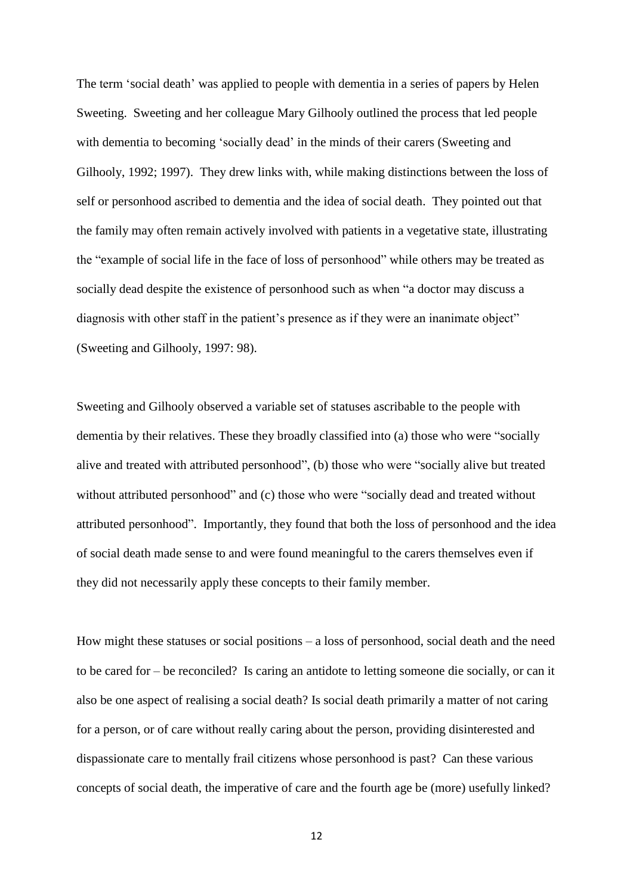The term 'social death' was applied to people with dementia in a series of papers by Helen Sweeting. Sweeting and her colleague Mary Gilhooly outlined the process that led people with dementia to becoming 'socially dead' in the minds of their carers (Sweeting and Gilhooly, 1992; 1997). They drew links with, while making distinctions between the loss of self or personhood ascribed to dementia and the idea of social death. They pointed out that the family may often remain actively involved with patients in a vegetative state, illustrating the "example of social life in the face of loss of personhood" while others may be treated as socially dead despite the existence of personhood such as when "a doctor may discuss a diagnosis with other staff in the patient's presence as if they were an inanimate object" (Sweeting and Gilhooly, 1997: 98).

Sweeting and Gilhooly observed a variable set of statuses ascribable to the people with dementia by their relatives. These they broadly classified into (a) those who were "socially alive and treated with attributed personhood", (b) those who were "socially alive but treated without attributed personhood" and (c) those who were "socially dead and treated without attributed personhood". Importantly, they found that both the loss of personhood and the idea of social death made sense to and were found meaningful to the carers themselves even if they did not necessarily apply these concepts to their family member.

How might these statuses or social positions – a loss of personhood, social death and the need to be cared for – be reconciled? Is caring an antidote to letting someone die socially, or can it also be one aspect of realising a social death? Is social death primarily a matter of not caring for a person, or of care without really caring about the person, providing disinterested and dispassionate care to mentally frail citizens whose personhood is past? Can these various concepts of social death, the imperative of care and the fourth age be (more) usefully linked?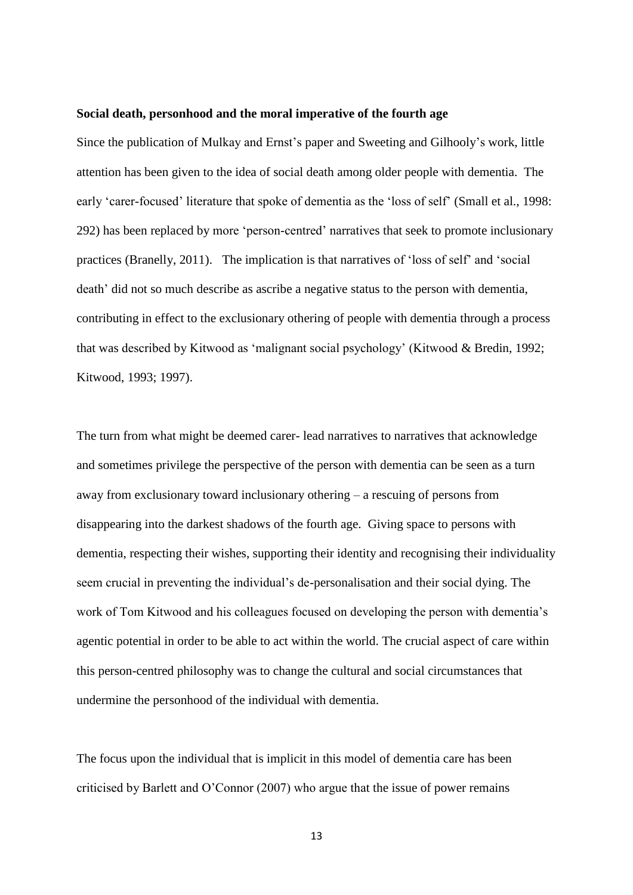#### **Social death, personhood and the moral imperative of the fourth age**

Since the publication of Mulkay and Ernst's paper and Sweeting and Gilhooly's work, little attention has been given to the idea of social death among older people with dementia. The early 'carer-focused' literature that spoke of dementia as the 'loss of self' (Small et al., 1998: 292) has been replaced by more 'person-centred' narratives that seek to promote inclusionary practices (Branelly, 2011). The implication is that narratives of 'loss of self' and 'social death' did not so much describe as ascribe a negative status to the person with dementia, contributing in effect to the exclusionary othering of people with dementia through a process that was described by Kitwood as 'malignant social psychology' (Kitwood & Bredin, 1992; Kitwood, 1993; 1997).

The turn from what might be deemed carer- lead narratives to narratives that acknowledge and sometimes privilege the perspective of the person with dementia can be seen as a turn away from exclusionary toward inclusionary othering – a rescuing of persons from disappearing into the darkest shadows of the fourth age. Giving space to persons with dementia, respecting their wishes, supporting their identity and recognising their individuality seem crucial in preventing the individual's de-personalisation and their social dying. The work of Tom Kitwood and his colleagues focused on developing the person with dementia's agentic potential in order to be able to act within the world. The crucial aspect of care within this person-centred philosophy was to change the cultural and social circumstances that undermine the personhood of the individual with dementia.

The focus upon the individual that is implicit in this model of dementia care has been criticised by Barlett and O'Connor (2007) who argue that the issue of power remains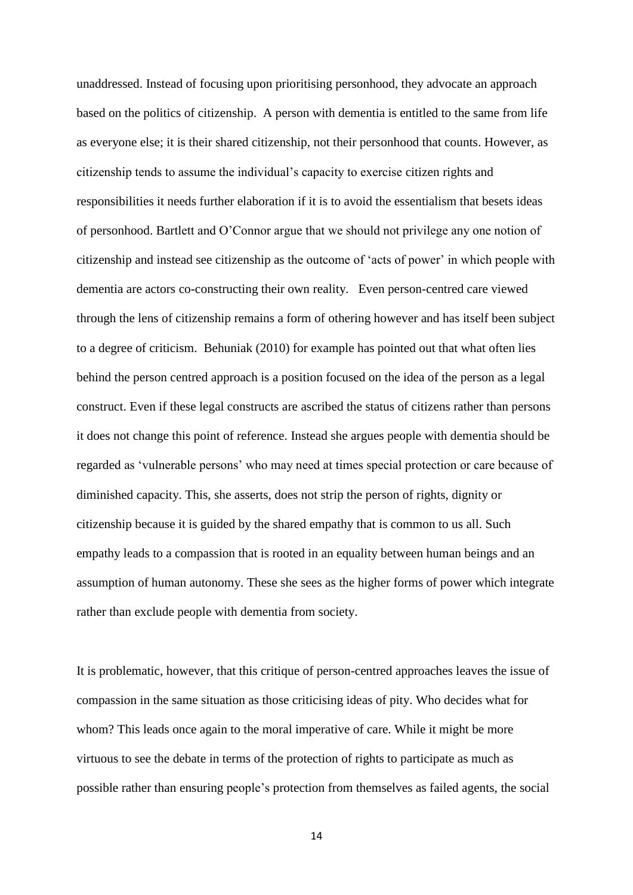unaddressed. Instead of focusing upon prioritising personhood, they advocate an approach based on the politics of citizenship. A person with dementia is entitled to the same from life as everyone else; it is their shared citizenship, not their personhood that counts. However, as citizenship tends to assume the individual's capacity to exercise citizen rights and responsibilities it needs further elaboration if it is to avoid the essentialism that besets ideas of personhood. Bartlett and O'Connor argue that we should not privilege any one notion of citizenship and instead see citizenship as the outcome of 'acts of power' in which people with dementia are actors co-constructing their own reality. Even person-centred care viewed through the lens of citizenship remains a form of othering however and has itself been subject to a degree of criticism. Behuniak (2010) for example has pointed out that what often lies behind the person centred approach is a position focused on the idea of the person as a legal construct. Even if these legal constructs are ascribed the status of citizens rather than persons it does not change this point of reference. Instead she argues people with dementia should be regarded as 'vulnerable persons' who may need at times special protection or care because of diminished capacity. This, she asserts, does not strip the person of rights, dignity or citizenship because it is guided by the shared empathy that is common to us all. Such empathy leads to a compassion that is rooted in an equality between human beings and an assumption of human autonomy. These she sees as the higher forms of power which integrate rather than exclude people with dementia from society.

It is problematic, however, that this critique of person-centred approaches leaves the issue of compassion in the same situation as those criticising ideas of pity. Who decides what for whom? This leads once again to the moral imperative of care. While it might be more virtuous to see the debate in terms of the protection of rights to participate as much as possible rather than ensuring people's protection from themselves as failed agents, the social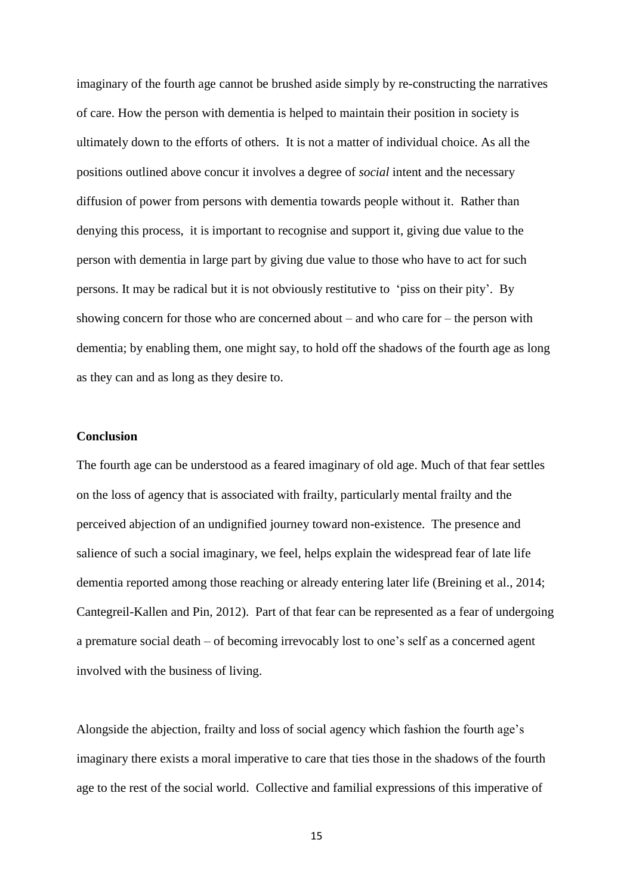imaginary of the fourth age cannot be brushed aside simply by re-constructing the narratives of care. How the person with dementia is helped to maintain their position in society is ultimately down to the efforts of others. It is not a matter of individual choice. As all the positions outlined above concur it involves a degree of *social* intent and the necessary diffusion of power from persons with dementia towards people without it. Rather than denying this process, it is important to recognise and support it, giving due value to the person with dementia in large part by giving due value to those who have to act for such persons. It may be radical but it is not obviously restitutive to 'piss on their pity'. By showing concern for those who are concerned about – and who care for – the person with dementia; by enabling them, one might say, to hold off the shadows of the fourth age as long as they can and as long as they desire to.

## **Conclusion**

The fourth age can be understood as a feared imaginary of old age. Much of that fear settles on the loss of agency that is associated with frailty, particularly mental frailty and the perceived abjection of an undignified journey toward non-existence. The presence and salience of such a social imaginary, we feel, helps explain the widespread fear of late life dementia reported among those reaching or already entering later life (Breining et al., 2014; Cantegreil-Kallen and Pin, 2012). Part of that fear can be represented as a fear of undergoing a premature social death – of becoming irrevocably lost to one's self as a concerned agent involved with the business of living.

Alongside the abjection, frailty and loss of social agency which fashion the fourth age's imaginary there exists a moral imperative to care that ties those in the shadows of the fourth age to the rest of the social world. Collective and familial expressions of this imperative of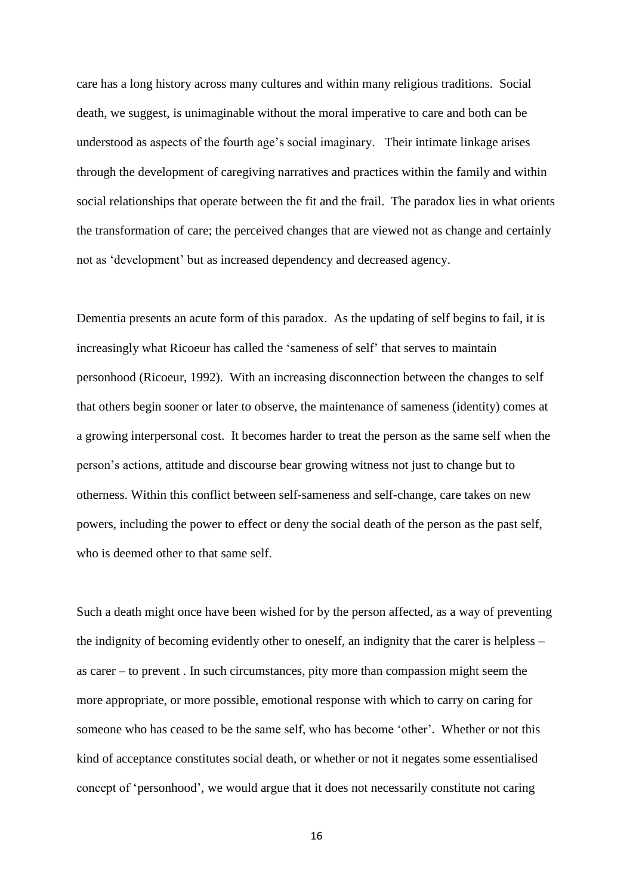care has a long history across many cultures and within many religious traditions. Social death, we suggest, is unimaginable without the moral imperative to care and both can be understood as aspects of the fourth age's social imaginary. Their intimate linkage arises through the development of caregiving narratives and practices within the family and within social relationships that operate between the fit and the frail. The paradox lies in what orients the transformation of care; the perceived changes that are viewed not as change and certainly not as 'development' but as increased dependency and decreased agency.

Dementia presents an acute form of this paradox. As the updating of self begins to fail, it is increasingly what Ricoeur has called the 'sameness of self' that serves to maintain personhood (Ricoeur, 1992). With an increasing disconnection between the changes to self that others begin sooner or later to observe, the maintenance of sameness (identity) comes at a growing interpersonal cost. It becomes harder to treat the person as the same self when the person's actions, attitude and discourse bear growing witness not just to change but to otherness. Within this conflict between self-sameness and self-change, care takes on new powers, including the power to effect or deny the social death of the person as the past self, who is deemed other to that same self.

Such a death might once have been wished for by the person affected, as a way of preventing the indignity of becoming evidently other to oneself, an indignity that the carer is helpless – as carer – to prevent . In such circumstances, pity more than compassion might seem the more appropriate, or more possible, emotional response with which to carry on caring for someone who has ceased to be the same self, who has become 'other'. Whether or not this kind of acceptance constitutes social death, or whether or not it negates some essentialised concept of 'personhood', we would argue that it does not necessarily constitute not caring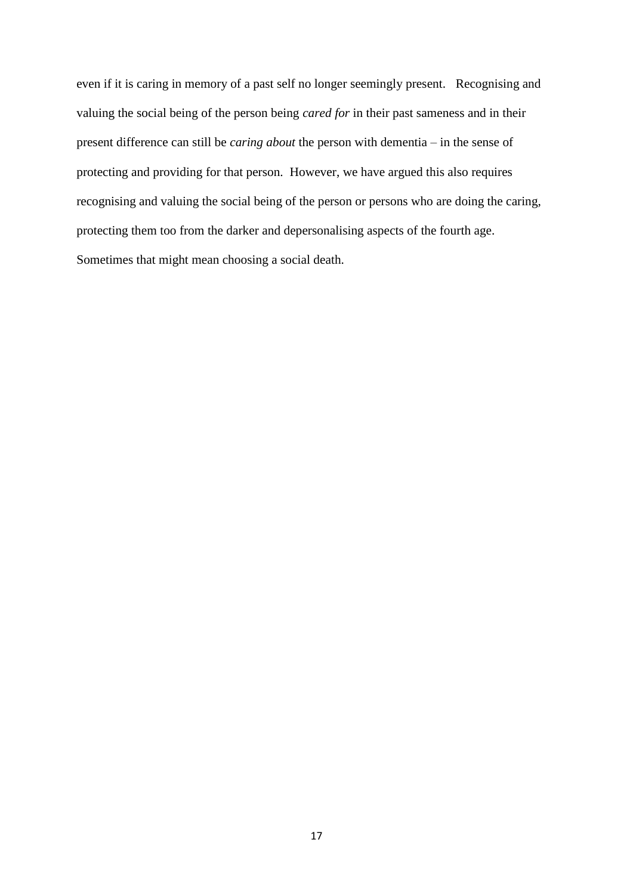even if it is caring in memory of a past self no longer seemingly present. Recognising and valuing the social being of the person being *cared for* in their past sameness and in their present difference can still be *caring about* the person with dementia – in the sense of protecting and providing for that person. However, we have argued this also requires recognising and valuing the social being of the person or persons who are doing the caring, protecting them too from the darker and depersonalising aspects of the fourth age. Sometimes that might mean choosing a social death.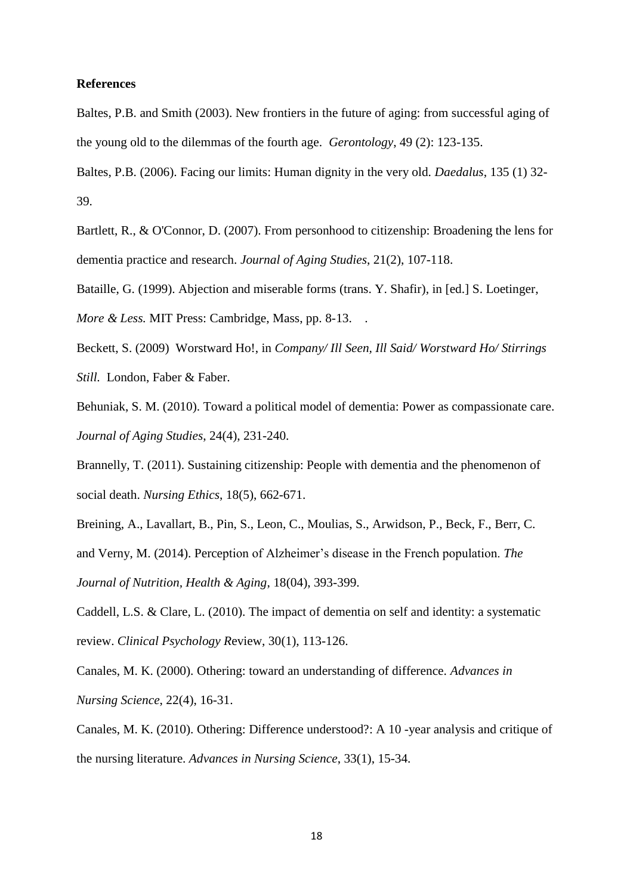### **References**

Baltes, P.B. and Smith (2003). New frontiers in the future of aging: from successful aging of the young old to the dilemmas of the fourth age. *Gerontology*, 49 (2): 123-135.

Baltes, P.B. (2006). Facing our limits: Human dignity in the very old. *Daedalus*, 135 (1) 32- 39.

Bartlett, R., & O'Connor, D. (2007). From personhood to citizenship: Broadening the lens for dementia practice and research. *Journal of Aging Studies*, 21(2), 107-118.

Bataille, G. (1999). Abjection and miserable forms (trans. Y. Shafir), in [ed.] S. Loetinger,

*More & Less.* MIT Press: Cambridge, Mass, pp. 8-13. .

Beckett, S. (2009) Worstward Ho!, in *Company/ Ill Seen, Ill Said/ Worstward Ho/ Stirrings Still.* London, Faber & Faber.

Behuniak, S. M. (2010). Toward a political model of dementia: Power as compassionate care. *Journal of Aging Studies*, 24(4), 231-240.

Brannelly, T. (2011). Sustaining citizenship: People with dementia and the phenomenon of social death. *Nursing Ethics*, 18(5), 662-671.

Breining, A., Lavallart, B., Pin, S., Leon, C., Moulias, S., Arwidson, P., Beck, F., Berr, C. and Verny, M. (2014). Perception of Alzheimer's disease in the French population. *The Journal of Nutrition, Health & Aging*, 18(04), 393-399.

Caddell, L.S. & Clare, L. (2010). The impact of dementia on self and identity: a systematic review. *Clinical Psychology R*eview, 30(1), 113-126.

Canales, M. K. (2000). Othering: toward an understanding of difference. *Advances in Nursing Science*, 22(4), 16-31.

Canales, M. K. (2010). Othering: Difference understood?: A 10 -year analysis and critique of the nursing literature. *Advances in Nursing Science*, 33(1), 15-34.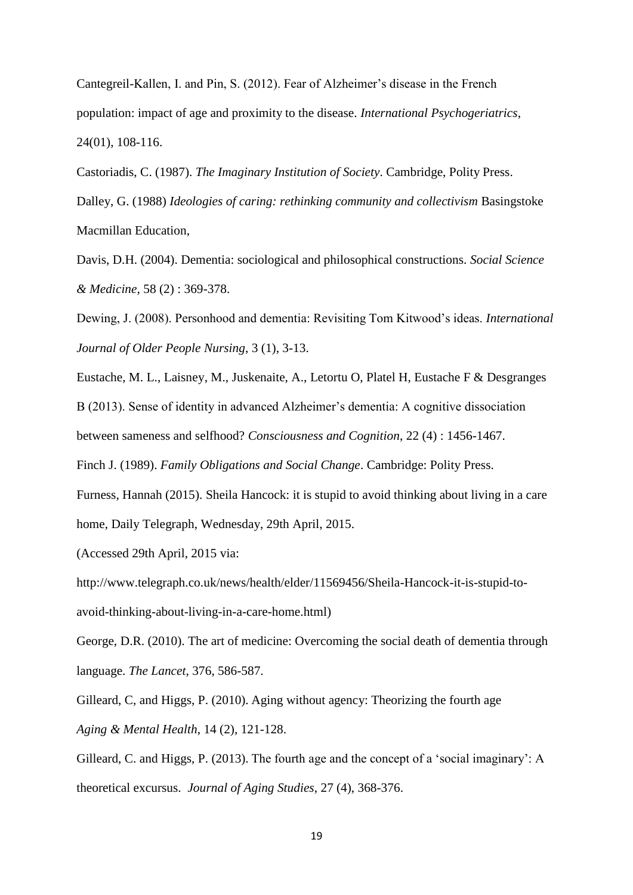Cantegreil-Kallen, I. and Pin, S. (2012). Fear of Alzheimer's disease in the French population: impact of age and proximity to the disease. *International Psychogeriatrics*, 24(01), 108-116.

Castoriadis, C. (1987). *The Imaginary Institution of Society*. Cambridge, Polity Press. Dalley, G. (1988) *Ideologies of caring: rethinking community and collectivism* Basingstoke Macmillan Education,

Davis, D.H. (2004). Dementia: sociological and philosophical constructions. *Social Science & Medicine,* 58 (2) : 369-378.

Dewing, J. (2008). Personhood and dementia: Revisiting Tom Kitwood's ideas. *International Journal of Older People Nursing*, 3 (1), 3-13.

Eustache, M. L., Laisney, M., Juskenaite, A., Letortu O, Platel H, Eustache F & Desgranges B (2013). Sense of identity in advanced Alzheimer's dementia: A cognitive dissociation between sameness and selfhood? *Consciousness and Cognition*, 22 (4) : 1456-1467.

Finch J. (1989). *Family Obligations and Social Change*. Cambridge: Polity Press.

Furness, Hannah (2015). Sheila Hancock: it is stupid to avoid thinking about living in a care home, Daily Telegraph, Wednesday, 29th April, 2015.

(Accessed 29th April, 2015 via:

http://www.telegraph.co.uk/news/health/elder/11569456/Sheila-Hancock-it-is-stupid-toavoid-thinking-about-living-in-a-care-home.html)

George, D.R. (2010). The art of medicine: Overcoming the social death of dementia through language. *The Lancet*, 376, 586-587.

Gilleard, C, and Higgs, P. (2010). Aging without agency: Theorizing the fourth age *Aging & Mental Health*, 14 (2), 121-128.

Gilleard, C. and Higgs, P. (2013). The fourth age and the concept of a 'social imaginary': A theoretical excursus. *Journal of Aging Studies*, 27 (4), 368-376.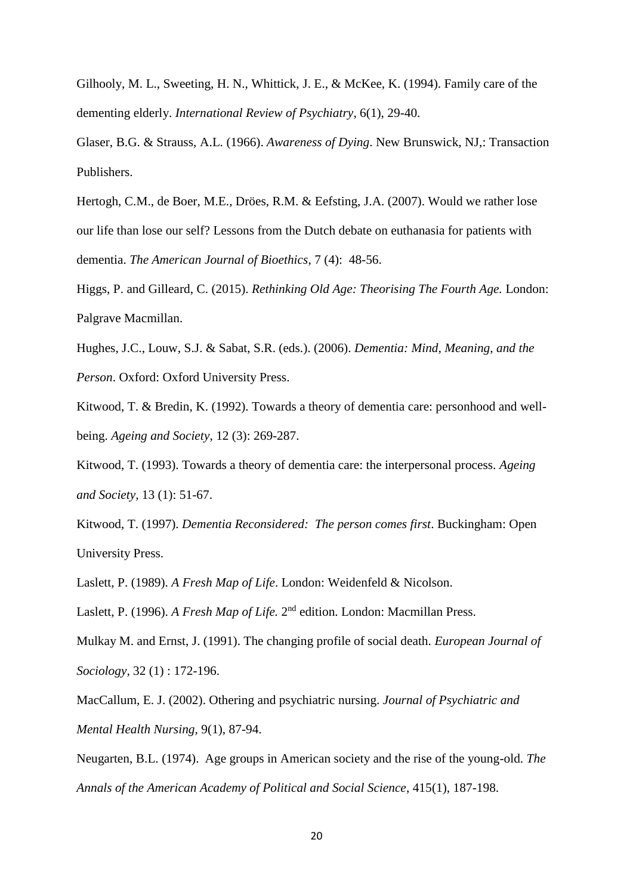Gilhooly, M. L., Sweeting, H. N., Whittick, J. E., & McKee, K. (1994). Family care of the dementing elderly. *International Review of Psychiatry*, 6(1), 29-40.

Glaser, B.G. & Strauss, A.L. (1966). *Awareness of Dying*. New Brunswick, NJ,: Transaction Publishers.

Hertogh, C.M., de Boer, M.E., Dröes, R.M. & Eefsting, J.A. (2007). Would we rather lose our life than lose our self? Lessons from the Dutch debate on euthanasia for patients with dementia. *The American Journal of Bioethics*, 7 (4): 48-56.

Higgs, P. and Gilleard, C. (2015). *Rethinking Old Age: Theorising The Fourth Age.* London: Palgrave Macmillan.

Hughes, J.C., Louw, S.J. & Sabat, S.R. (eds.). (2006). *Dementia: Mind, Meaning, and the Person*. Oxford: Oxford University Press.

Kitwood, T. & Bredin, K. (1992). Towards a theory of dementia care: personhood and wellbeing. *Ageing and Society*, 12 (3): 269-287.

Kitwood, T. (1993). Towards a theory of dementia care: the interpersonal process. *Ageing and Society,* 13 (1): 51-67.

Kitwood, T. (1997). *Dementia Reconsidered: The person comes first*. Buckingham: Open University Press.

Laslett, P. (1989). *A Fresh Map of Life*. London: Weidenfeld & Nicolson.

Laslett, P. (1996). *A Fresh Map of Life*. 2<sup>nd</sup> edition. London: Macmillan Press.

Mulkay M. and Ernst, J. (1991). The changing profile of social death. *European Journal of Sociology,* 32 (1) : 172-196.

MacCallum, E. J. (2002). Othering and psychiatric nursing. *Journal of Psychiatric and Mental Health Nursing,* 9(1), 87-94.

Neugarten, B.L. (1974). Age groups in American society and the rise of the young-old. *The Annals of the American Academy of Political and Social Science*, 415(1), 187-198.